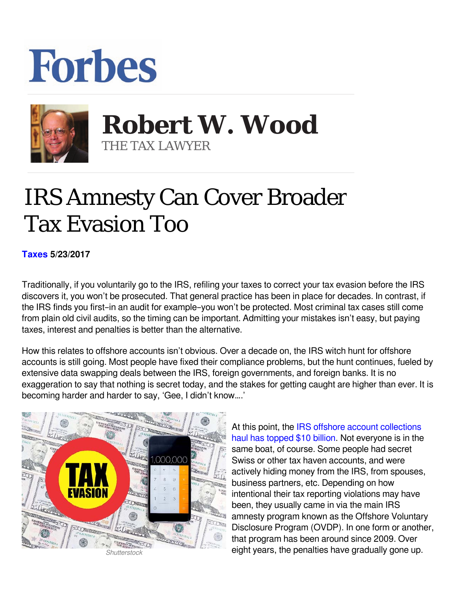## **Forbes**



 **Robert W. Wood** THE TAX LAWYER

## IRS Amnesty Can Cover Broader Tax Evasion Too

**[Taxes](https://www.forbes.com/taxes) 5/23/2017** 

Traditionally, if you voluntarily go to the IRS, refiling your taxes to correct your tax evasion before the IRS discovers it, you won't be prosecuted. That general practice has been in place for decades. In contrast, if the IRS finds you first–in an audit for example–you won't be protected. Most criminal tax cases still come from plain old civil audits, so the timing can be important. Admitting your mistakes isn't easy, but paying taxes, interest and penalties is better than the alternative.

How this relates to offshore accounts isn't obvious. Over a decade on, the IRS witch hunt for offshore accounts is still going. Most people have fixed their compliance problems, but the hunt continues, fueled by extensive data swapping deals between the IRS, foreign governments, and foreign banks. It is no exaggeration to say that nothing is secret today, and the stakes for getting caught are higher than ever. It is becoming harder and harder to say, 'Gee, I didn't know….'



At this point, the [IRS offshore account collections](https://www.google.com/url?sa=t&rct=j&q=&esrc=s&source=web&cd=1&cad=rja&uact=8&ved=0ahUKEwioxoqglbHRAhXo64MKHYuECdMQFggaMAA&url=http://www.forbes.com/sites/robertwood/2016/10/24/irs-offshore-account-collections-top-10-billion-fatca-hunt-continues/&usg=AFQjCNHL69zOpAQCfsFW9d7BN3APJ9U-Fw&bvm=bv.142059868,d.amc) [haul has topped \\$10 billion.](https://www.google.com/url?sa=t&rct=j&q=&esrc=s&source=web&cd=1&cad=rja&uact=8&ved=0ahUKEwioxoqglbHRAhXo64MKHYuECdMQFggaMAA&url=http://www.forbes.com/sites/robertwood/2016/10/24/irs-offshore-account-collections-top-10-billion-fatca-hunt-continues/&usg=AFQjCNHL69zOpAQCfsFW9d7BN3APJ9U-Fw&bvm=bv.142059868,d.amc) Not everyone is in the same boat, of course. Some people had secret Swiss or other tax haven accounts, and were actively hiding money from the IRS, from spouses, business partners, etc. Depending on how intentional their tax reporting violations may have been, they usually came in via the main IRS amnesty program known as the Offshore Voluntary Disclosure Program (OVDP). In one form or another, that program has been around since 2009. Over eight years, the penalties have gradually gone up.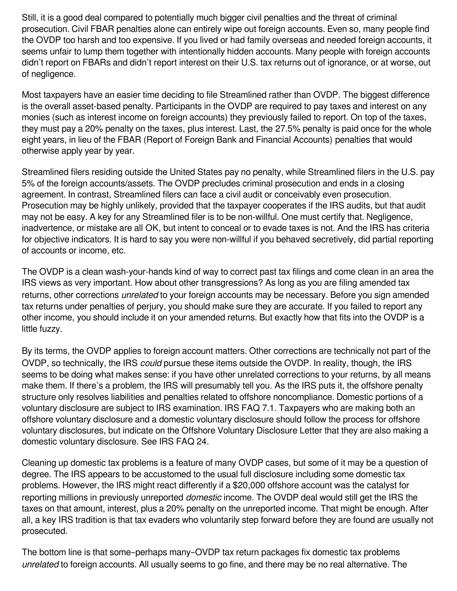Still, it is a good deal compared to potentially much bigger civil penalties and the threat of criminal prosecution. Civil FBAR penalties alone can entirely wipe out foreign accounts. Even so, many people find the OVDP too harsh and too expensive. If you lived or had family overseas and needed foreign accounts, it seems unfair to lump them together with intentionally hidden accounts. Many people with foreign accounts didn't report on FBARs and didn't report interest on their U.S. tax returns out of ignorance, or at worse, out of negligence.

Most taxpayers have an easier time deciding to file Streamlined rather than OVDP. The biggest difference is the overall asset-based penalty. Participants in the OVDP are required to pay taxes and interest on any monies (such as interest income on foreign accounts) they previously failed to report. On top of the taxes, they must pay a 20% penalty on the taxes, plus interest. Last, the 27.5% penalty is paid once for the whole eight years, in lieu of the FBAR (Report of Foreign Bank and Financial Accounts) penalties that would otherwise apply year by year.

Streamlined filers residing outside the United States pay no penalty, while Streamlined filers in the U.S. pay 5% of the foreign accounts/assets. The OVDP precludes criminal prosecution and ends in a closing agreement. In contrast, Streamlined filers can face a civil audit or conceivably even prosecution. Prosecution may be highly unlikely, provided that the taxpayer cooperates if the IRS audits, but that audit may not be easy. A key for any Streamlined filer is to be non-willful. One must certify that. Negligence, inadvertence, or mistake are all OK, but intent to conceal or to evade taxes is not. And the IRS has criteria for objective indicators. It is hard to say you were non-willful if you behaved secretively, did partial reporting of accounts or income, etc.

The OVDP is a clean wash-your-hands kind of way to correct past tax filings and come clean in an area the IRS views as very important. How about other transgressions? As long as you are filing amended tax returns, other corrections *unrelated* to your foreign accounts may be necessary. Before you sign amended tax returns under penalties of perjury, you should make sure they are accurate. If you failed to report any other income, you should include it on your amended returns. But exactly how that fits into the OVDP is a little fuzzy.

By its terms, the OVDP applies to foreign account matters. Other corrections are technically not part of the OVDP, so technically, the IRS *could* pursue these items outside the OVDP. In reality, though, the IRS seems to be doing what makes sense: if you have other unrelated corrections to your returns, by all means make them. If there's a problem, the IRS will presumably tell you. As the IRS puts it, the offshore penalty structure only resolves liabilities and penalties related to offshore noncompliance. Domestic portions of a voluntary disclosure are subject to IRS examination. IRS FAQ 7.1. Taxpayers who are making both an offshore voluntary disclosure and a domestic voluntary disclosure should follow the process for offshore voluntary disclosures, but indicate on the Offshore Voluntary Disclosure Letter that they are also making a domestic voluntary disclosure. See IRS FAQ 24.

Cleaning up domestic tax problems is a feature of many OVDP cases, but some of it may be a question of degree. The IRS appears to be accustomed to the usual full disclosure including some domestic tax problems. However, the IRS might react differently if a \$20,000 offshore account was the catalyst for reporting millions in previously unreported *domestic* income. The OVDP deal would still get the IRS the taxes on that amount, interest, plus a 20% penalty on the unreported income. That might be enough. After all, a key IRS tradition is that tax evaders who voluntarily step forward before they are found are usually not prosecuted.

The bottom line is that some–perhaps many–OVDP tax return packages fix domestic tax problems *unrelated* to foreign accounts. All usually seems to go fine, and there may be no real alternative. The